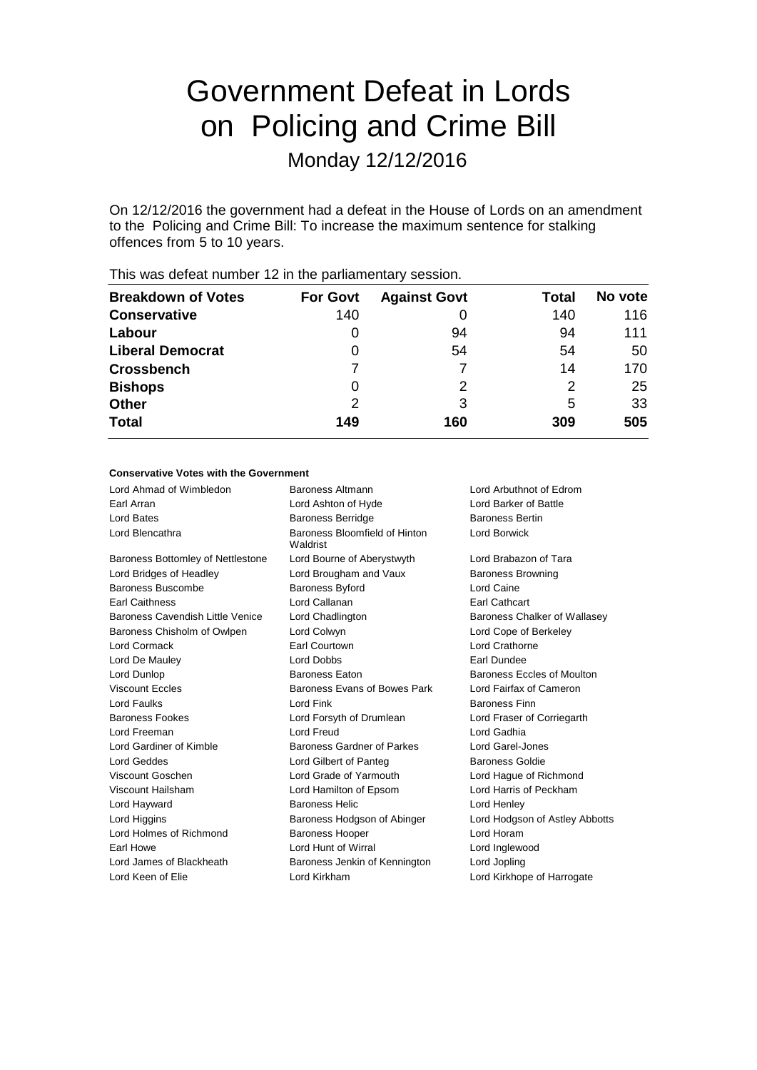# Government Defeat in Lords on Policing and Crime Bill

Monday 12/12/2016

On 12/12/2016 the government had a defeat in the House of Lords on an amendment to the Policing and Crime Bill: To increase the maximum sentence for stalking offences from 5 to 10 years.

| $\frac{1}{100}$ $\frac{1}{100}$ and $\frac{1}{100}$ and $\frac{1}{100}$ and $\frac{1}{100}$ is $\frac{1}{100}$ particular for $\frac{1}{100}$ and $\frac{1}{100}$ |                 |                     |       |         |  |
|-------------------------------------------------------------------------------------------------------------------------------------------------------------------|-----------------|---------------------|-------|---------|--|
| <b>Breakdown of Votes</b>                                                                                                                                         | <b>For Govt</b> | <b>Against Govt</b> | Total | No vote |  |
| <b>Conservative</b>                                                                                                                                               | 140             |                     | 140   | 116     |  |
| Labour                                                                                                                                                            |                 | 94                  | 94    | 111     |  |
| <b>Liberal Democrat</b>                                                                                                                                           | O               | 54                  | 54    | 50      |  |
| <b>Crossbench</b>                                                                                                                                                 |                 |                     | 14    | 170     |  |
| <b>Bishops</b>                                                                                                                                                    | 0               | 2                   | 2     | 25      |  |
| <b>Other</b>                                                                                                                                                      | 2               | 3                   | 5     | 33      |  |
| <b>Total</b>                                                                                                                                                      | 149             | 160                 | 309   | 505     |  |
|                                                                                                                                                                   |                 |                     |       |         |  |

This was defeat number 12 in the parliamentary session.

#### **Conservative Votes with the Government**

| Lord Ahmad of Wimbledon           | Baroness Altmann                          | Lord Arbuthnot of Edrom        |
|-----------------------------------|-------------------------------------------|--------------------------------|
| Earl Arran                        | Lord Ashton of Hyde                       | Lord Barker of Battle          |
| Lord Bates                        | <b>Baroness Berridge</b>                  | <b>Baroness Bertin</b>         |
| Lord Blencathra                   | Baroness Bloomfield of Hinton<br>Waldrist | Lord Borwick                   |
| Baroness Bottomley of Nettlestone | Lord Bourne of Aberystwyth                | Lord Brabazon of Tara          |
| Lord Bridges of Headley           | Lord Brougham and Vaux                    | <b>Baroness Browning</b>       |
| Baroness Buscombe                 | <b>Baroness Byford</b>                    | Lord Caine                     |
| <b>Earl Caithness</b>             | Lord Callanan                             | <b>Earl Cathcart</b>           |
| Baroness Cavendish Little Venice  | Lord Chadlington                          | Baroness Chalker of Wallasey   |
| Baroness Chisholm of Owlpen       | Lord Colwyn                               | Lord Cope of Berkeley          |
| Lord Cormack                      | Earl Courtown                             | Lord Crathorne                 |
| Lord De Mauley                    | Lord Dobbs                                | Earl Dundee                    |
| Lord Dunlop                       | <b>Baroness Eaton</b>                     | Baroness Eccles of Moulton     |
| <b>Viscount Eccles</b>            | Baroness Evans of Bowes Park              | Lord Fairfax of Cameron        |
| Lord Faulks                       | Lord Fink                                 | <b>Baroness Finn</b>           |
| <b>Baroness Fookes</b>            | Lord Forsyth of Drumlean                  | Lord Fraser of Corriegarth     |
| Lord Freeman                      | <b>Lord Freud</b>                         | Lord Gadhia                    |
| Lord Gardiner of Kimble           | Baroness Gardner of Parkes                | Lord Garel-Jones               |
| Lord Geddes                       | Lord Gilbert of Panteg                    | <b>Baroness Goldie</b>         |
| Viscount Goschen                  | Lord Grade of Yarmouth                    | Lord Haque of Richmond         |
| Viscount Hailsham                 | Lord Hamilton of Epsom                    | Lord Harris of Peckham         |
| Lord Hayward                      | <b>Baroness Helic</b>                     | Lord Henley                    |
| Lord Higgins                      | Baroness Hodgson of Abinger               | Lord Hodgson of Astley Abbotts |
| Lord Holmes of Richmond           | <b>Baroness Hooper</b>                    | Lord Horam                     |
| Earl Howe                         | Lord Hunt of Wirral                       | Lord Inglewood                 |
| Lord James of Blackheath          | Baroness Jenkin of Kennington             | Lord Jopling                   |
| Lord Keen of Elie                 | Lord Kirkham                              | Lord Kirkhope of Harrogate     |
|                                   |                                           |                                |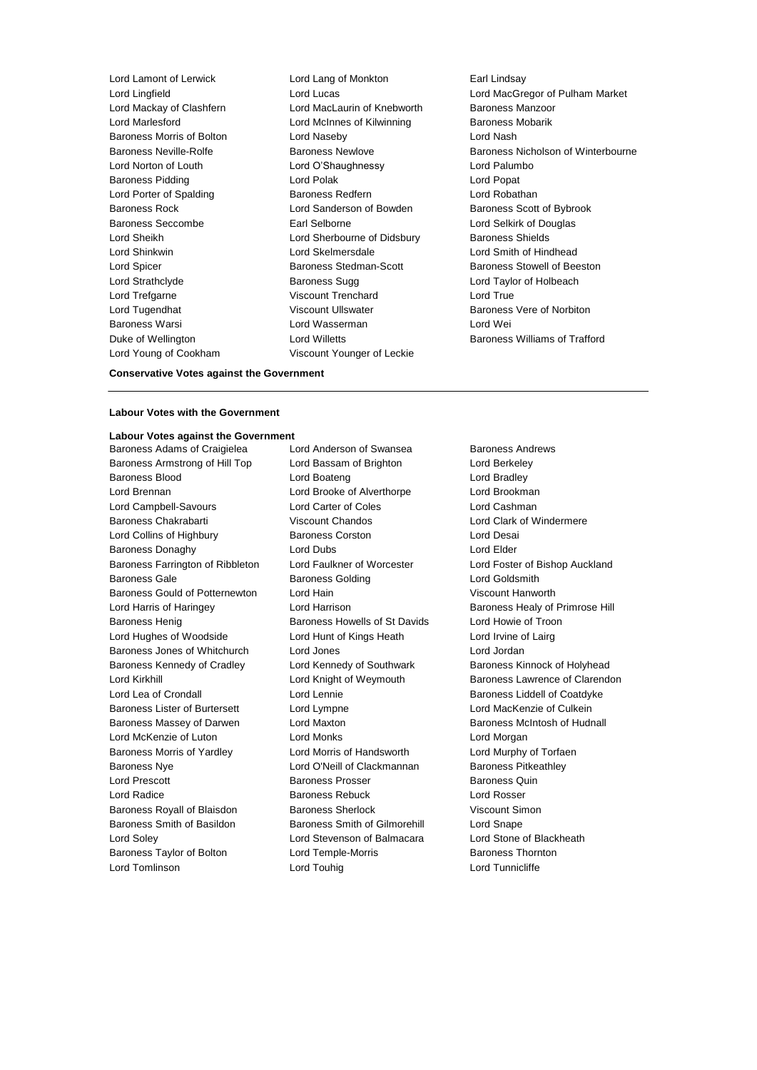Lord Young of Cookham Viscount Younger of Leckie

Lord Lamont of Lerwick Lord Lang of Monkton Earl Lindsay Lord Mackay of Clashfern Lord MacLaurin of Knebworth Baroness Manzoor Lord Marlesford **Lord McInnes of Kilwinning** Baroness Mobarik Baroness Morris of Bolton Lord Naseby Lord Nash Lord Norton of Louth Lord O'Shaughnessy Lord Palumbo Baroness Pidding Lord Polak Lord Popat Lord Porter of Spalding **Baroness Redfern Baroness Redfern** Lord Robathan Baroness Rock **Lord Sanderson of Bowden** Baroness Scott of Bybrook Baroness Seccombe Earl Selborne Lord Selkirk of Douglas Lord Sheikh Lord Sherbourne of Didsbury Baroness Shields Lord Shinkwin Lord Skelmersdale Lord Smith of Hindhead Lord Spicer **Baroness Stedman-Scott** Baroness Stedman-Baroness Stowell of Beeston Lord Strathclyde **Baroness Sugg Lord Taylor of Holbeach** Baroness Sugg Lord Taylor of Holbeach Lord Trefgarne **Viscount Trenchard** Lord True Lord Tugendhat **Matter State Viscount Ullswater** Baroness Vere of Norbiton Baroness Warsi Lord Wasserman Lord Wei Duke of Wellington **Lord Willetts** Baroness Williams of Trafford **Lord Willetts** Baroness Williams of Trafford

Lord Lingfield Lord Lucas Lord MacGregor of Pulham Market Baroness Neville-Rolfe Baroness Newlove Baroness Nicholson of Winterbourne

#### **Conservative Votes against the Government**

## **Labour Votes with the Government**

**Labour Votes against the Government** Baroness Adams of Craigielea Lord Anderson of Swansea Baroness Andrews Baroness Armstrong of Hill Top Lord Bassam of Brighton Lord Berkeley Baroness Blood **Lord Boateng** Lord Bradley **Lord Bradley** Lord Brennan Lord Brooke of Alverthorpe Lord Brookman Lord Campbell-Savours Lord Carter of Coles Lord Cashman Baroness Chakrabarti **Viscount Chandos** Chandos Lord Clark of Windermere Lord Collins of Highbury Baroness Corston Lord Desai Baroness Donaghy **Lord Dubs** Lord Dubs **Lord Elder** Baroness Farrington of Ribbleton Lord Faulkner of Worcester Lord Foster of Bishop Auckland Baroness Gale **Baroness Golding** Baroness Golding **Lord Goldsmith** Baroness Gould of Potternewton Lord Hain Viscount Hanworth Lord Harris of Haringey Lord Harrison Baroness Healy of Primrose Hill Baroness Henig Baroness Howells of St Davids Lord Howie of Troon Lord Hughes of Woodside **Lord Hunt of Kings Heath** Lord Irvine of Lairg Baroness Jones of Whitchurch Lord Jones Lord Jones Lord Jordan Baroness Kennedy of Cradley **Lord Kennedy of Southwark Baroness Kinnock of Holyhead** Lord Kirkhill **Lord Knight of Weymouth** Baroness Lawrence of Clarendon Lord Lea of Crondall **Lord Lennie** Lord Lennie Baroness Liddell of Coatdyke Baroness Lister of Burtersett Lord Lympne Lord Lord MacKenzie of Culkein Baroness Massey of Darwen Lord Maxton **Lorgian Baroness McIntosh of Hudnall** Lord McKenzie of Luton Lord Monks Lord Morgan Baroness Morris of Yardley Lord Morris of Handsworth Lord Murphy of Torfaen Baroness Nye **Lord O'Neill of Clackmannan** Baroness Pitkeathley Lord Prescott **Baroness Prosser** Baroness Prosser Baroness Quin Lord Radice **Baroness Rebuck** Lord Rosser Baroness Royall of Blaisdon Baroness Sherlock **Baroness Sherlock** Viscount Simon Baroness Smith of Basildon Baroness Smith of Gilmorehill Lord Snape Lord Soley Lord Stevenson of Balmacara Lord Stone of Blackheath Baroness Taylor of Bolton **Lord Temple-Morris Baroness Thornton** Lord Tomlinson Lord Touhig Lord Tunnicliffe